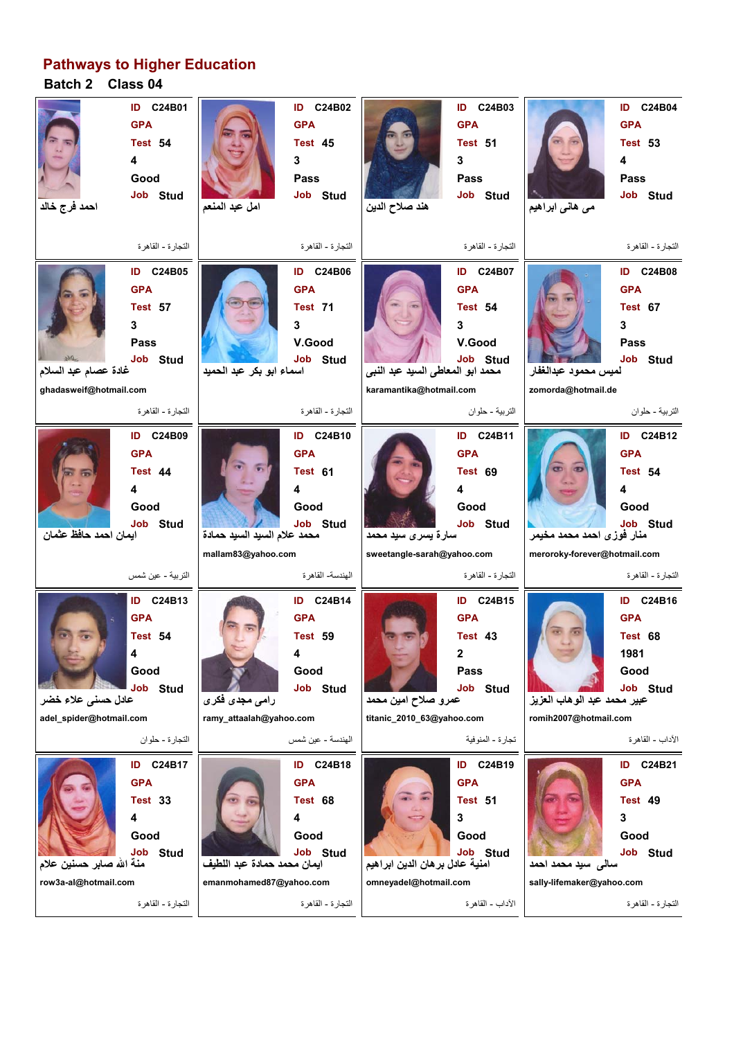## **Pathways to Higher Education**